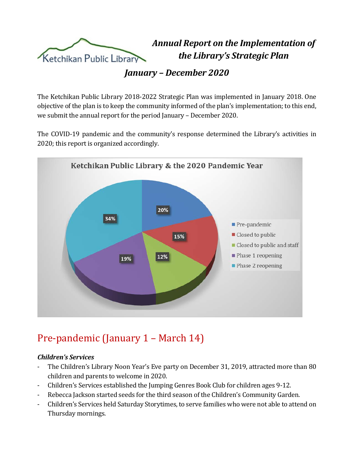

*Annual Report on the Implementation of the Library's Strategic Plan*

*January – December 2020*

The Ketchikan Public Library 2018-2022 Strategic Plan was implemented in January 2018. One objective of the plan is to keep the community informed of the plan's implementation; to this end, we submit the annual report for the period January – December 2020.

The COVID-19 pandemic and the community's response determined the Library's activities in 2020; this report is organized accordingly.



## Pre-pandemic (January 1 – March 14)

#### *Children's Services*

- The Children's Library Noon Year's Eve party on December 31, 2019, attracted more than 80 children and parents to welcome in 2020.
- Children's Services established the Jumping Genres Book Club for children ages 9-12.
- Rebecca Jackson started seeds for the third season of the Children's Community Garden.
- Children's Services held Saturday Storytimes, to serve families who were not able to attend on Thursday mornings.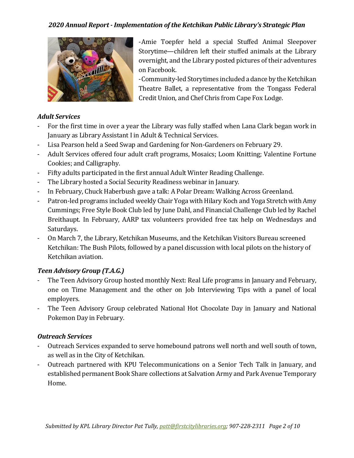

-Amie Toepfer held a special Stuffed Animal Sleepover Storytime—children left their stuffed animals at the Library overnight, and the Library posted pictures of their adventures on Facebook.

-Community-led Storytimes included a dance by the Ketchikan Theatre Ballet, a representative from the Tongass Federal Credit Union, and Chef Chris from Cape Fox Lodge.

#### *Adult Services*

- For the first time in over a year the Library was fully staffed when Lana Clark began work in January as Library Assistant I in Adult & Technical Services.
- Lisa Pearson held a Seed Swap and Gardening for Non-Gardeners on February 29.
- Adult Services offered four adult craft programs, Mosaics; Loom Knitting; Valentine Fortune Cookies; and Calligraphy.
- Fifty adults participated in the first annual Adult Winter Reading Challenge.
- The Library hosted a Social Security Readiness webinar in January.
- In February, Chuck Haberbush gave a talk: A Polar Dream: Walking Across Greenland.
- Patron-led programs included weekly Chair Yoga with Hilary Koch and Yoga Stretch with Amy Cummings; Free Style Book Club led by June Dahl, and Financial Challenge Club led by Rachel Breithaupt. In February, AARP tax volunteers provided free tax help on Wednesdays and Saturdays.
- On March 7, the Library, Ketchikan Museums, and the Ketchikan Visitors Bureau screened Ketchikan: The Bush Pilots, followed by a panel discussion with local pilots on the history of Ketchikan aviation.

#### *Teen Advisory Group (T.A.G.)*

- The Teen Advisory Group hosted monthly Next: Real Life programs in January and February, one on Time Management and the other on Job Interviewing Tips with a panel of local employers.
- The Teen Advisory Group celebrated National Hot Chocolate Day in January and National Pokemon Day in February.

#### *Outreach Services*

- Outreach Services expanded to serve homebound patrons well north and well south of town, as well as in the City of Ketchikan.
- Outreach partnered with KPU Telecommunications on a Senior Tech Talk in January, and established permanent Book Share collections at Salvation Army and Park Avenue Temporary Home.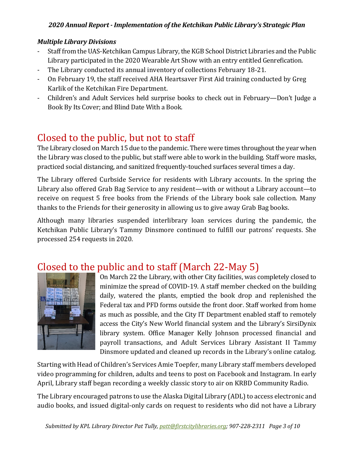#### *Multiple Library Divisions*

- Staff from the UAS-Ketchikan Campus Library, the KGB School District Libraries and the Public Library participated in the 2020 Wearable Art Show with an entry entitled Genrefication.
- The Library conducted its annual inventory of collections February 18-21.
- On February 19, the staff received AHA Heartsaver First Aid training conducted by Greg Karlik of the Ketchikan Fire Department.
- Children's and Adult Services held surprise books to check out in February—Don't Judge a Book By Its Cover; and Blind Date With a Book.

## Closed to the public, but not to staff

The Library closed on March 15 due to the pandemic. There were times throughout the year when the Library was closed to the public, but staff were able to work in the building. Staff wore masks, practiced social distancing, and sanitized frequently-touched surfaces several times a day.

The Library offered Curbside Service for residents with Library accounts. In the spring the Library also offered Grab Bag Service to any resident—with or without a Library account—to receive on request 5 free books from the Friends of the Library book sale collection. Many thanks to the Friends for their generosity in allowing us to give away Grab Bag books.

Although many libraries suspended interlibrary loan services during the pandemic, the Ketchikan Public Library's Tammy Dinsmore continued to fulfill our patrons' requests. She processed 254 requests in 2020.

### Closed to the public and to staff (March 22-May 5)



On March 22 the Library, with other City facilities, was completely closed to minimize the spread of COVID-19. A staff member checked on the building daily, watered the plants, emptied the book drop and replenished the Federal tax and PFD forms outside the front door. Staff worked from home as much as possible, and the City IT Department enabled staff to remotely access the City's New World financial system and the Library's SirsiDynix library system. Office Manager Kelly Johnson processed financial and payroll transactions, and Adult Services Library Assistant II Tammy Dinsmore updated and cleaned up records in the Library's online catalog.

Starting with Head of Children's Services Amie Toepfer, many Library staff members developed video programming for children, adults and teens to post on Facebook and Instagram. In early April, Library staff began recording a weekly classic story to air on KRBD Community Radio.

The Library encouraged patrons to use the Alaska Digital Library (ADL) to access electronic and audio books, and issued digital-only cards on request to residents who did not have a Library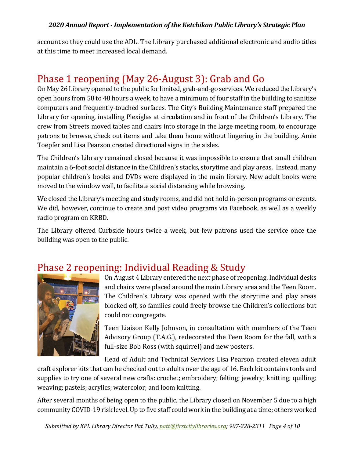account so they could use the ADL. The Library purchased additional electronic and audio titles at this time to meet increased local demand.

# Phase 1 reopening (May 26-August 3): Grab and Go

On May 26Library opened to the public for limited, grab-and-go services. We reduced the Library's open hours from 58 to 48 hours a week, to have a minimum of four staff in the building to sanitize computers and frequently-touched surfaces. The City's Building Maintenance staff prepared the Library for opening, installing Plexiglas at circulation and in front of the Children's Library. The crew from Streets moved tables and chairs into storage in the large meeting room, to encourage patrons to browse, check out items and take them home without lingering in the building. Amie Toepfer and Lisa Pearson created directional signs in the aisles.

The Children's Library remained closed because it was impossible to ensure that small children maintain a 6-foot social distance in the Children's stacks, storytime and play areas. Instead, many popular children's books and DVDs were displayed in the main library. New adult books were moved to the window wall, to facilitate social distancing while browsing.

We closed the Library's meeting and study rooms, and did not hold in-person programs or events. We did, however, continue to create and post video programs via Facebook, as well as a weekly radio program on KRBD.

The Library offered Curbside hours twice a week, but few patrons used the service once the building was open to the public.

### Phase 2 reopening: Individual Reading & Study



On August 4 Library entered the next phase of reopening. Individual desks and chairs were placed around the main Library area and the Teen Room. The Children's Library was opened with the storytime and play areas blocked off, so families could freely browse the Children's collections but could not congregate.

Teen Liaison Kelly Johnson, in consultation with members of the Teen Advisory Group (T.A.G.), redecorated the Teen Room for the fall, with a full-size Bob Ross (with squirrel) and new posters.

Head of Adult and Technical Services Lisa Pearson created eleven adult

craft explorer kits that can be checked out to adults over the age of 16. Each kit contains tools and supplies to try one of several new crafts: crochet; embroidery; felting; jewelry; knitting; quilling; weaving; pastels; acrylics; watercolor; and loom knitting.

After several months of being open to the public, the Library closed on November 5 due to a high community COVID-19 risk level. Up to five staff could work in the building at a time; others worked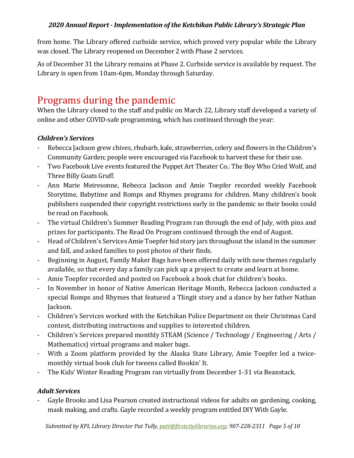from home. The Library offered curbside service, which proved very popular while the Library was closed. The Library reopened on December 2 with Phase 2 services.

As of December 31 the Library remains at Phase 2. Curbside service is available by request. The Library is open from 10am-6pm, Monday through Saturday.

## Programs during the pandemic

When the Library closed to the staff and public on March 22, Library staff developed a variety of online and other COVID-safe programming, which has continued through the year:

#### *Children's Services*

- Rebecca Jackson grew chives, rhubarb, kale, strawberries, celery and flowers in the Children's Community Garden; people were encouraged via Facebook to harvest these for their use.
- Two Facebook Live events featured the Puppet Art Theater Co.: The Boy Who Cried Wolf, and Three Billy Goats Gruff.
- Ann Marie Meiresonne, Rebecca Jackson and Amie Toepfer recorded weekly Facebook Storytime, Babytime and Romps and Rhymes programs for children. Many children's book publishers suspended their copyright restrictions early in the pandemic so their books could be read on Facebook.
- The virtual Children's Summer Reading Program ran through the end of July, with pins and prizes for participants. The Read On Program continued through the end of August.
- Head of Children's Services Amie Toepfer hid story jars throughout the island in the summer and fall, and asked families to post photos of their finds.
- Beginning in August, Family Maker Bags have been offered daily with new themes regularly available, so that every day a family can pick up a project to create and learn at home.
- Amie Toepfer recorded and posted on Facebook a book chat for children's books.
- In November in honor of Native American Heritage Month, Rebecca Jackson conducted a special Romps and Rhymes that featured a Tlingit story and a dance by her father Nathan Jackson.
- Children's Services worked with the Ketchikan Police Department on their Christmas Card contest, distributing instructions and supplies to interested children.
- Children's Services prepared monthly STEAM (Science / Technology / Engineering / Arts / Mathematics) virtual programs and maker bags.
- With a Zoom platform provided by the Alaska State Library, Amie Toepfer led a twicemonthly virtual book club for tweens called Bookin' It.
- The Kids' Winter Reading Program ran virtually from December 1-31 via Beanstack.

#### *Adult Services*

- Gayle Brooks and Lisa Pearson created instructional videos for adults on gardening, cooking, mask making, and crafts. Gayle recorded a weekly program entitled DIY With Gayle.

*Submitted by KPL Library Director Pat Tully, [patt@firstcitylibraries.org;](mailto:patt@firstcitylibraries.org) 907-228-2311 Page 5 of 10*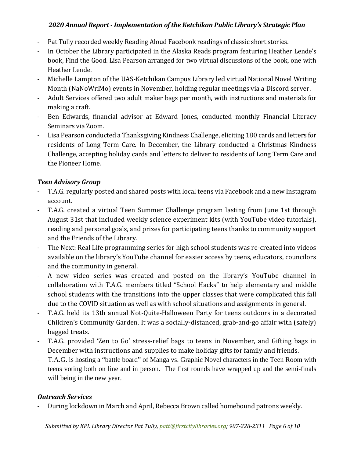- Pat Tully recorded weekly Reading Aloud Facebook readings of classic short stories.
- In October the Library participated in the Alaska Reads program featuring Heather Lende's book, Find the Good. Lisa Pearson arranged for two virtual discussions of the book, one with Heather Lende.
- Michelle Lampton of the UAS-Ketchikan Campus Library led virtual National Novel Writing Month (NaNoWriMo) events in November, holding regular meetings via a Discord server.
- Adult Services offered two adult maker bags per month, with instructions and materials for making a craft.
- Ben Edwards, financial advisor at Edward Jones, conducted monthly Financial Literacy Seminars via Zoom.
- Lisa Pearson conducted a Thanksgiving Kindness Challenge, eliciting 180 cards and letters for residents of Long Term Care. In December, the Library conducted a Christmas Kindness Challenge, accepting holiday cards and letters to deliver to residents of Long Term Care and the Pioneer Home.

#### *Teen Advisory Group*

- T.A.G. regularly posted and shared posts with local teens via Facebook and a new Instagram account.
- T.A.G. created a virtual Teen Summer Challenge program lasting from June 1st through August 31st that included weekly science experiment kits (with YouTube video tutorials), reading and personal goals, and prizes for participating teens thanks to community support and the Friends of the Library.
- The Next: Real Life programming series for high school students was re-created into videos available on the library's YouTube channel for easier access by teens, educators, councilors and the community in general.
- A new video series was created and posted on the library's YouTube channel in collaboration with T.A.G. members titled "School Hacks" to help elementary and middle school students with the transitions into the upper classes that were complicated this fall due to the COVID situation as well as with school situations and assignments in general.
- T.A.G. held its 13th annual Not-Quite-Halloween Party for teens outdoors in a decorated Children's Community Garden. It was a socially-distanced, grab-and-go affair with (safely) bagged treats.
- T.A.G. provided 'Zen to Go' stress-relief bags to teens in November, and Gifting bags in December with instructions and supplies to make holiday gifts for family and friends.
- T.A.G. is hosting a "battle board" of Manga vs. Graphic Novel characters in the Teen Room with teens voting both on line and in person. The first rounds have wrapped up and the semi-finals will being in the new year.

#### *Outreach Services*

- During lockdown in March and April, Rebecca Brown called homebound patrons weekly.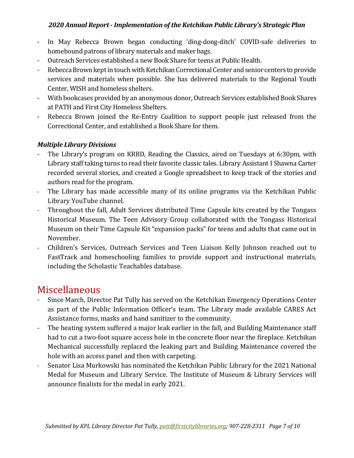- In May Rebecca Brown began conducting 'ding-dong-ditch' COVID-safe deliveries to homebound patrons of library materials and maker bags.
- Outreach Services established a new Book Share for teens at Public Health.
- Rebecca Brown kept in touch with Ketchikan Correctional Center and senior centers to provide services and materials when possible. She has delivered materials to the Regional Youth Center, WISH and homeless shelters.
- With bookcases provided by an anonymous donor, Outreach Services established Book Shares at PATH and First City Homeless Shelters.
- Rebecca Brown joined the Re-Entry Coalition to support people just released from the Correctional Center, and established a Book Share for them.

#### *Multiple Library Divisions*

- The Library's program on KRBD, Reading the Classics, aired on Tuesdays at 6:30pm, with Library staff taking turns to read their favorite classic tales. Library Assistant I Shawna Carter recorded several stories, and created a Google spreadsheet to keep track of the stories and authors read for the program.
- The Library has made accessible many of its online programs via the Ketchikan Public Library YouTube channel.
- Throughout the fall, Adult Services distributed Time Capsule kits created by the Tongass Historical Museum. The Teen Advisory Group collaborated with the Tongass Historical Museum on their Time Capsule Kit "expansion packs" for teens and adults that came out in November.
- Children's Services, Outreach Services and Teen Liaison Kelly Johnson reached out to FastTrack and homeschooling families to provide support and instructional materials, including the Scholastic Teachables database.

### Miscellaneous

- Since March, Director Pat Tully has served on the Ketchikan Emergency Operations Center as part of the Public Information Officer's team. The Library made available CARES Act Assistance forms, masks and hand sanitizer to the community.
- The heating system suffered a major leak earlier in the fall, and Building Maintenance staff had to cut a two-foot square access hole in the concrete floor near the fireplace. Ketchikan Mechanical successfully replaced the leaking part and Building Maintenance covered the hole with an access panel and then with carpeting.
- Senator Lisa Murkowski has nominated the Ketchikan Public Library for the 2021 National Medal for Museum and Library Service. The Institute of Museum & Library Services will announce finalists for the medal in early 2021.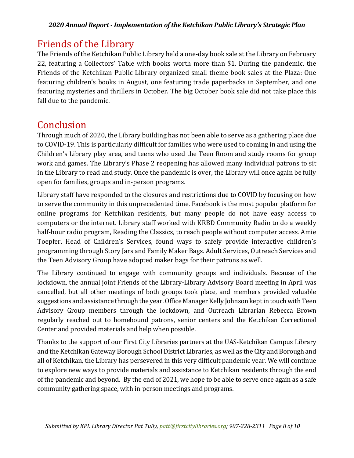## Friends of the Library

The Friends of the Ketchikan Public Library held a one-day book sale at the Library on February 22, featuring a Collectors' Table with books worth more than \$1. During the pandemic, the Friends of the Ketchikan Public Library organized small theme book sales at the Plaza: One featuring children's books in August, one featuring trade paperbacks in September, and one featuring mysteries and thrillers in October. The big October book sale did not take place this fall due to the pandemic.

### Conclusion

Through much of 2020, the Library building has not been able to serve as a gathering place due to COVID-19. This is particularly difficult for families who were used to coming in and using the Children's Library play area, and teens who used the Teen Room and study rooms for group work and games. The Library's Phase 2 reopening has allowed many individual patrons to sit in the Library to read and study. Once the pandemic is over, the Library will once again be fully open for families, groups and in-person programs.

Library staff have responded to the closures and restrictions due to COVID by focusing on how to serve the community in this unprecedented time. Facebook is the most popular platform for online programs for Ketchikan residents, but many people do not have easy access to computers or the internet. Library staff worked with KRBD Community Radio to do a weekly half-hour radio program, Reading the Classics, to reach people without computer access. Amie Toepfer, Head of Children's Services, found ways to safely provide interactive children's programming through Story Jars and Family Maker Bags. Adult Services, Outreach Services and the Teen Advisory Group have adopted maker bags for their patrons as well.

The Library continued to engage with community groups and individuals. Because of the lockdown, the annual joint Friends of the Library-Library Advisory Board meeting in April was cancelled, but all other meetings of both groups took place, and members provided valuable suggestions and assistance through the year. Office Manager Kelly Johnson kept in touch with Teen Advisory Group members through the lockdown, and Outreach Librarian Rebecca Brown regularly reached out to homebound patrons, senior centers and the Ketchikan Correctional Center and provided materials and help when possible.

Thanks to the support of our First City Libraries partners at the UAS-Ketchikan Campus Library and the Ketchikan Gateway Borough School District Libraries, as well as the City and Borough and all of Ketchikan, the Library has persevered in this very difficult pandemic year. We will continue to explore new ways to provide materials and assistance to Ketchikan residents through the end of the pandemic and beyond. By the end of 2021, we hope to be able to serve once again as a safe community gathering space, with in-person meetings and programs.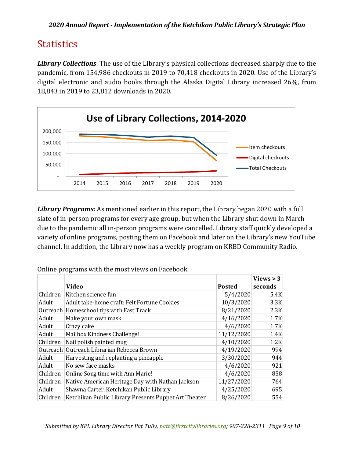# **Statistics**

*Library Collections*: The use of the Library's physical collections decreased sharply due to the pandemic, from 154,986 checkouts in 2019 to 70,418 checkouts in 2020. Use of the Library's digital electronic and audio books through the Alaska Digital Library increased 26%, from 18,843 in 2019 to 23,812 downloads in 2020.



*Library Programs:* As mentioned earlier in this report, the Library began 2020 with a full slate of in-person programs for every age group, but when the Library shut down in March due to the pandemic all in-person programs were cancelled. Library staff quickly developed a variety of online programs, posting them on Facebook and later on the Library's new YouTube channel. In addition, the Library now has a weekly program on KRBD Community Radio.

|          |                                                      |               | Views $>$ 3 |
|----------|------------------------------------------------------|---------------|-------------|
|          | <b>Video</b>                                         | <b>Posted</b> | seconds     |
| Children | Kitchen science fun                                  | 5/4/2020      | 5.4K        |
| Adult    | Adult take-home craft: Felt Fortune Cookies          | 10/3/2020     | 3.3K        |
|          | Outreach Homeschool tips with Fast Track             | 8/21/2020     | 2.3K        |
| Adult    | Make your own mask                                   | 4/16/2020     | 1.7K        |
| Adult    | Crazy cake                                           | 4/6/2020      | 1.7K        |
| Adult    | Mailbox Kindness Challenge!                          | 11/12/2020    | 1.4K        |
| Children | Nail polish painted mug                              | 4/10/2020     | 1.2K        |
| Outreach | Outreach Librarian Rebecca Brown                     | 4/19/2020     | 994         |
| Adult    | Harvesting and replanting a pineapple                | 3/30/2020     | 944         |
| Adult    | No sew face masks                                    | 4/6/2020      | 921         |
| Children | Online Song time with Ann Marie!                     | 4/6/2020      | 858         |
| Children | Native American Heritage Day with Nathan Jackson     | 11/27/2020    | 764         |
| Adult    | Shawna Carter, Ketchikan Public Library              | 4/25/2020     | 695         |
| Children | Ketchikan Public Library Presents Puppet Art Theater | 8/26/2020     | 554         |

Online programs with the most views on Facebook: